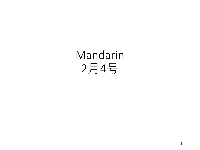# Mandarin 月4号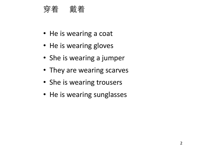#### 穿着 戴着

- He is wearing a coat
- He is wearing gloves
- She is wearing a jumper
- They are wearing scarves
- She is wearing trousers
- He is wearing sunglasses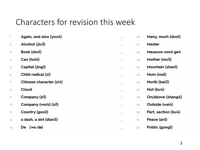### Characters for revision this week

| 1.  | Again, and also (you4)  |          |
|-----|-------------------------|----------|
| 2.  | Alcohol (jiu3)          |          |
| 3.  | <b>Book (shul)</b>      | $\cdots$ |
| 4.  | Can (hui4)              | $\cdots$ |
| 5.  | Capital (jingl)         | $\cdots$ |
| ó.  | Child radical (zi)      |          |
| 7.  | Chinese character (zi4) | $\cdots$ |
| 8.  | Cloud                   |          |
| 9.  | Company (sil)           |          |
| 10. | Company (work) (sil)    |          |
| 11. | Country (guo2)          |          |
| 12. | a dash, a dot (dian3)   |          |
| 13. | De (wo de)              |          |

| 40. | Many, much (duol)   |
|-----|---------------------|
| 41. | Master              |
| 42. | Measure word ge4    |
| 43. | Mother (mu3)        |
| 44. | Mountain (shan1)    |
| 45. | Mum (mal)           |
| 46. | North (bei3)        |
| 47. | Not (bu4)           |
| 48. | On/above (shang4)   |
| 49. | Outside (wai4)      |
| 50. | Part, section (bu4) |
| 51. | Peace (anl)         |
| 52. | Public (gongl)      |
|     |                     |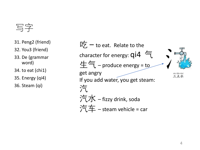## 写字

- 31. Peng2 (friend)
- 32. You3 (friend)
- 33. De (grammar word)
- 34. to eat (chi1)
- 35. Energy (qi4)

36. Steam (qi)

 $\Box \overleftarrow{Z}$  – to eat. Relate to the character for energy:  $q$ i $4 \in$  $\pm$ 气 – produce energy = to get angry sān diǎn shuī 三点水 If you add water, you get steam: 汽 汽水 – fizzy drink, soda 汽车 – steam vehicle = car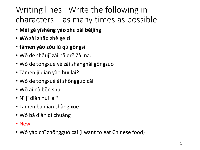# Writing lines : Write the following in characters – as many times as possible

- **Měi gè yīshēng yào zhù zài běijīng**
- **Wǒ zài zhǎo zhè ge zì**
- **tāmen yào zǒu lù qù gōngsī**
- Wǒ de shǒujī zài nǎ'er? Zài nà.
- Wǒ de tóngxué yě zài shànghǎi gōngzuò
- Tāmen jǐ diǎn yào huí lái?
- Wǒ de tóngxué ài zhōngguó cài
- Wǒ ài nà běn shū
- Nǐ jǐ diǎn huí lái?
- Tāmen bā diǎn shàng xué
- Wǒ bā diǎn qǐ chuáng
- New
- Wǒ yào chī zhōngguó cài (I want to eat Chinese food)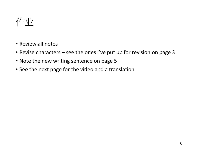

- Review all notes
- Revise characters see the ones I've put up for revision on page 3
- Note the new writing sentence on page 5
- See the next page for the video and a translation